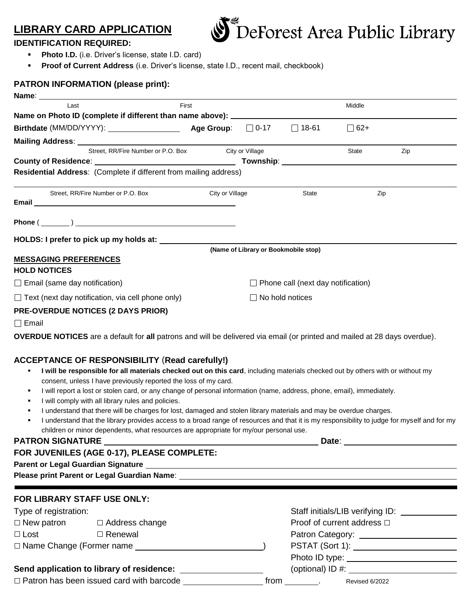# **LIBRARY CARD APPLICATION**



# **IDENTIFICATION REQUIRED:**

- **Photo I.D.** (i.e. Driver's license, state I.D. card)
- **Proof of Current Address** (i.e. Driver's license, state I.D., recent mail, checkbook)

# **PATRON INFORMATION (please print):**

| Name: Name: Name: Name: Name: Name: Name: Name: Name: Name: Name: Name: Name: Name: Name: Name: Name: Name: Name: Name: Name: Name: Name: Name: Name: Name: Name: Name: Name: Name: Name: Name: Name: Name: Name: Name: Name: |                 |                                           |              |            |     |
|-------------------------------------------------------------------------------------------------------------------------------------------------------------------------------------------------------------------------------|-----------------|-------------------------------------------|--------------|------------|-----|
| First<br>Last                                                                                                                                                                                                                 |                 |                                           |              | Middle     |     |
| Name on Photo ID (complete if different than name above): ______________________                                                                                                                                              |                 |                                           |              |            |     |
|                                                                                                                                                                                                                               |                 |                                           | $\Box$ 18-61 | $\Box$ 62+ |     |
|                                                                                                                                                                                                                               |                 |                                           |              |            |     |
| Street, RR/Fire Number or P.O. Box City or Village                                                                                                                                                                            |                 |                                           |              | State      | Zip |
|                                                                                                                                                                                                                               |                 |                                           |              |            |     |
| Residential Address: (Complete if different from mailing address)                                                                                                                                                             |                 |                                           |              |            |     |
| Street, RR/Fire Number or P.O. Box                                                                                                                                                                                            | City or Village |                                           | State        | Zip        |     |
| Phone $(\_\_)$                                                                                                                                                                                                                |                 |                                           |              |            |     |
| HOLDS: I prefer to pick up my holds at:                                                                                                                                                                                       |                 |                                           |              |            |     |
|                                                                                                                                                                                                                               |                 | (Name of Library or Bookmobile stop)      |              |            |     |
| <b>MESSAGING PREFERENCES</b>                                                                                                                                                                                                  |                 |                                           |              |            |     |
| <b>HOLD NOTICES</b>                                                                                                                                                                                                           |                 |                                           |              |            |     |
| $\Box$ Email (same day notification)                                                                                                                                                                                          |                 | $\Box$ Phone call (next day notification) |              |            |     |
| $\Box$ Text (next day notification, via cell phone only)                                                                                                                                                                      |                 | $\Box$ No hold notices                    |              |            |     |
| <b>PRE-OVERDUE NOTICES (2 DAYS PRIOR)</b>                                                                                                                                                                                     |                 |                                           |              |            |     |
| $\Box$ Email                                                                                                                                                                                                                  |                 |                                           |              |            |     |
| <b>OVERDUE NOTICES</b> are a default for all patrons and will be delivered via email (or printed and mailed at 28 days overdue).                                                                                              |                 |                                           |              |            |     |
| <b>ACCEPTANCE OF RESPONSIBILITY (Read carefully!)</b>                                                                                                                                                                         |                 |                                           |              |            |     |
| I will be responsible for all materials checked out on this card, including materials checked out by others with or without my<br>consent, unless I have previously reported the loss of my card.                             |                 |                                           |              |            |     |
| I will report a lost or stolen card, or any change of personal information (name, address, phone, email), immediately.<br>л<br>I will comply with all library rules and policies.                                             |                 |                                           |              |            |     |
| I understand that there will be charges for lost, damaged and stolen library materials and may be overdue charges.                                                                                                            |                 |                                           |              |            |     |
| I understand that the library provides access to a broad range of resources and that it is my responsibility to judge for myself and for my                                                                                   |                 |                                           |              |            |     |

children or minor dependents, what resources are appropriate for my/our personal use.

# **PATRON SIGNATURE Date**:

| FOR JUVENILES (AGE 0-17), PLEASE COMPLETE:                                                                                                                                                                                        |                                         |                                                                                                                                                                                                                                                                                                  |  |  |  |  |  |
|-----------------------------------------------------------------------------------------------------------------------------------------------------------------------------------------------------------------------------------|-----------------------------------------|--------------------------------------------------------------------------------------------------------------------------------------------------------------------------------------------------------------------------------------------------------------------------------------------------|--|--|--|--|--|
|                                                                                                                                                                                                                                   |                                         |                                                                                                                                                                                                                                                                                                  |  |  |  |  |  |
|                                                                                                                                                                                                                                   | <b>FOR LIBRARY STAFF USE ONLY:</b>      |                                                                                                                                                                                                                                                                                                  |  |  |  |  |  |
| Type of registration:                                                                                                                                                                                                             |                                         |                                                                                                                                                                                                                                                                                                  |  |  |  |  |  |
|                                                                                                                                                                                                                                   | $\Box$ New patron $\Box$ Address change | Proof of current address □                                                                                                                                                                                                                                                                       |  |  |  |  |  |
| $\Box$ Lost $\Box$ Renewal                                                                                                                                                                                                        |                                         | Patron Category: ______________________                                                                                                                                                                                                                                                          |  |  |  |  |  |
| □ Name Change (Former name <u>example and a set of</u> a set of a set of a set of a set of a set of a set of a set of a set of a set of a set of a set of a set of a set of a set of a set of a set of a set of a set of a set of |                                         |                                                                                                                                                                                                                                                                                                  |  |  |  |  |  |
|                                                                                                                                                                                                                                   |                                         |                                                                                                                                                                                                                                                                                                  |  |  |  |  |  |
|                                                                                                                                                                                                                                   |                                         | (optional) ID #: $\frac{1}{2}$ = $\frac{1}{2}$ = $\frac{1}{2}$ = $\frac{1}{2}$ = $\frac{1}{2}$ = $\frac{1}{2}$ = $\frac{1}{2}$ = $\frac{1}{2}$ = $\frac{1}{2}$ = $\frac{1}{2}$ = $\frac{1}{2}$ = $\frac{1}{2}$ = $\frac{1}{2}$ = $\frac{1}{2}$ = $\frac{1}{2}$ = $\frac{1}{2}$ = $\frac{1}{2}$ = |  |  |  |  |  |
| $\Box$ Patron has been issued card with barcode                                                                                                                                                                                   |                                         | from<br>Revised 6/2022                                                                                                                                                                                                                                                                           |  |  |  |  |  |